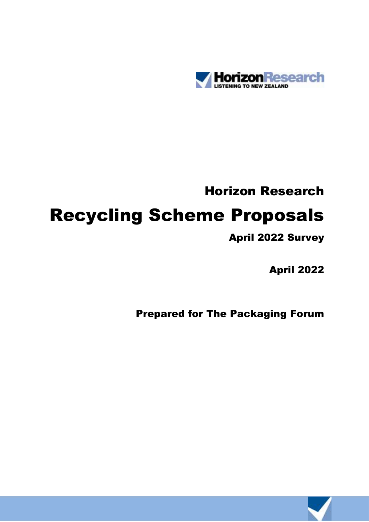

# Horizon Research Recycling Scheme Proposals

# April 2022 Survey

April 2022

Prepared for The Packaging Forum

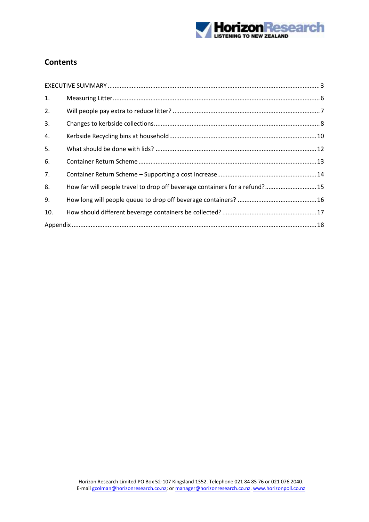

## **Contents**

| 1.  |                                                                             |  |
|-----|-----------------------------------------------------------------------------|--|
| 2.  |                                                                             |  |
| 3.  |                                                                             |  |
| 4.  |                                                                             |  |
| 5.  |                                                                             |  |
| 6.  |                                                                             |  |
| 7.  |                                                                             |  |
| 8.  | How far will people travel to drop off beverage containers for a refund? 15 |  |
| 9.  |                                                                             |  |
| 10. |                                                                             |  |
|     |                                                                             |  |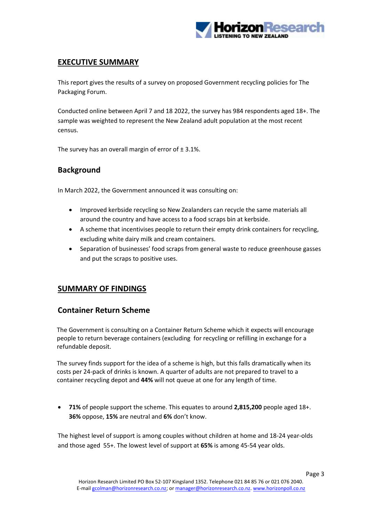

## <span id="page-2-0"></span>**EXECUTIVE SUMMARY**

This report gives the results of a survey on proposed Government recycling policies for The Packaging Forum.

Conducted online between April 7 and 18 2022, the survey has 984 respondents aged 18+. The sample was weighted to represent the New Zealand adult population at the most recent census.

The survey has an overall margin of error of  $\pm$  3.1%.

## **Background**

In March 2022, the Government announced it was consulting on:

- Improved kerbside recycling so New Zealanders can recycle the same materials all around the country and have access to a food scraps bin at kerbside.
- A scheme that incentivises people to return their empty drink containers for recycling, excluding white dairy milk and cream containers.
- Separation of businesses' food scraps from general waste to reduce greenhouse gasses and put the scraps to positive uses.

#### **SUMMARY OF FINDINGS**

#### **Container Return Scheme**

The Government is consulting on a Container Return Scheme which it expects will encourage people to return beverage containers (excluding for recycling or refilling in exchange for a refundable deposit.

The survey finds support for the idea of a scheme is high, but this falls dramatically when its costs per 24-pack of drinks is known. A quarter of adults are not prepared to travel to a container recycling depot and **44%** will not queue at one for any length of time.

• **71%** of people support the scheme. This equates to around **2,815,200** people aged 18+. **36%** oppose, **15%** are neutral and **6%** don't know.

The highest level of support is among couples without children at home and 18-24 year-olds and those aged 55+. The lowest level of support at **65%** is among 45-54 year olds.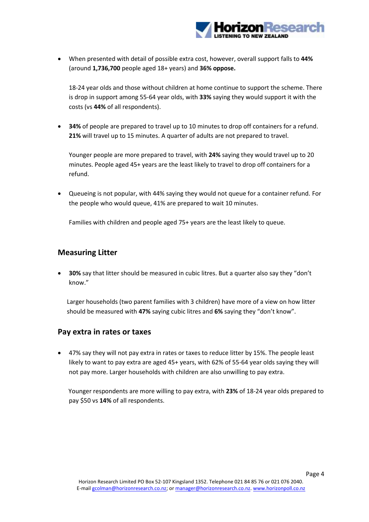

• When presented with detail of possible extra cost, however, overall support falls to **44%** (around **1,736,700** people aged 18+ years) and **36% oppose.**

18-24 year olds and those without children at home continue to support the scheme. There is drop in support among 55-64 year olds, with **33%** saying they would support it with the costs (vs **44%** of all respondents).

• **34%** of people are prepared to travel up to 10 minutes to drop off containers for a refund. **21%** will travel up to 15 minutes. A quarter of adults are not prepared to travel.

Younger people are more prepared to travel, with **24%** saying they would travel up to 20 minutes. People aged 45+ years are the least likely to travel to drop off containers for a refund.

• Queueing is not popular, with 44% saying they would not queue for a container refund. For the people who would queue, 41% are prepared to wait 10 minutes.

Families with children and people aged 75+ years are the least likely to queue.

#### **Measuring Litter**

• **30%** say that litter should be measured in cubic litres. But a quarter also say they "don't know."

Larger households (two parent families with 3 children) have more of a view on how litter should be measured with **47%** saying cubic litres and **6%** saying they "don't know".

#### **Pay extra in rates or taxes**

• 47% say they will not pay extra in rates or taxes to reduce litter by 15%. The people least likely to want to pay extra are aged 45+ years, with 62% of 55-64 year olds saying they will not pay more. Larger households with children are also unwilling to pay extra.

Younger respondents are more willing to pay extra, with **23%** of 18-24 year olds prepared to pay \$50 vs **14%** of all respondents.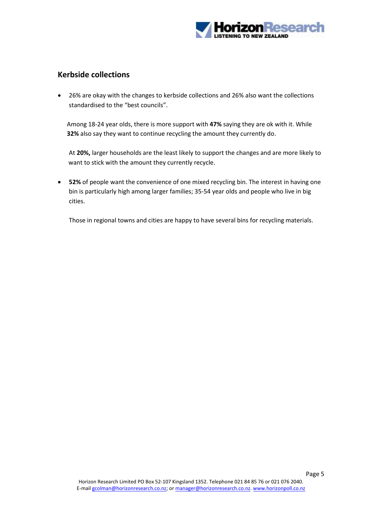

#### **Kerbside collections**

• 26% are okay with the changes to kerbside collections and 26% also want the collections standardised to the "best councils".

Among 18-24 year olds, there is more support with **47%** saying they are ok with it. While **32%** also say they want to continue recycling the amount they currently do.

At **20%,** larger households are the least likely to support the changes and are more likely to want to stick with the amount they currently recycle.

• **52%** of people want the convenience of one mixed recycling bin. The interest in having one bin is particularly high among larger families; 35-54 year olds and people who live in big cities.

Those in regional towns and cities are happy to have several bins for recycling materials.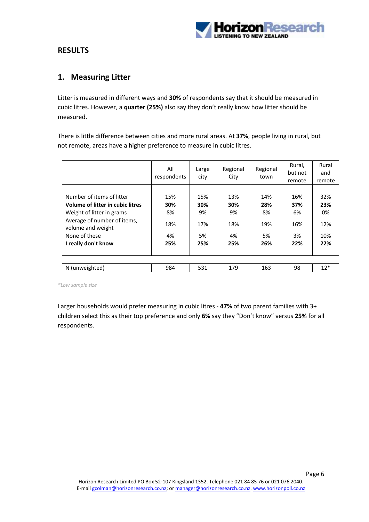

#### **RESULTS**

#### <span id="page-5-0"></span>**1. Measuring Litter**

Litter is measured in different ways and **30%** of respondents say that it should be measured in cubic litres. However, a **quarter (25%)** also say they don't really know how litter should be measured.

There is little difference between cities and more rural areas. At **37%**, people living in rural, but not remote, areas have a higher preference to measure in cubic litres.

|                                                                                                                                                                                        | All<br>respondents                   | Large<br>city                        | Regional<br>City                     | Regional<br>town                     | Rural,<br>but not<br>remote          | Rural<br>and<br>remote                |
|----------------------------------------------------------------------------------------------------------------------------------------------------------------------------------------|--------------------------------------|--------------------------------------|--------------------------------------|--------------------------------------|--------------------------------------|---------------------------------------|
| Number of items of litter<br>Volume of litter in cubic litres<br>Weight of litter in grams<br>Average of number of items,<br>volume and weight<br>None of these<br>I really don't know | 15%<br>30%<br>8%<br>18%<br>4%<br>25% | 15%<br>30%<br>9%<br>17%<br>5%<br>25% | 13%<br>30%<br>9%<br>18%<br>4%<br>25% | 14%<br>28%<br>8%<br>19%<br>5%<br>26% | 16%<br>37%<br>6%<br>16%<br>3%<br>22% | 32%<br>23%<br>0%<br>12%<br>10%<br>22% |
| N (unweighted)                                                                                                                                                                         | 984                                  | 531                                  | 179                                  | 163                                  | 98                                   | $12*$                                 |

*\*Low sample size*

Larger households would prefer measuring in cubic litres - **47%** of two parent families with 3+ children select this as their top preference and only **6%** say they "Don't know" versus **25%** for all respondents.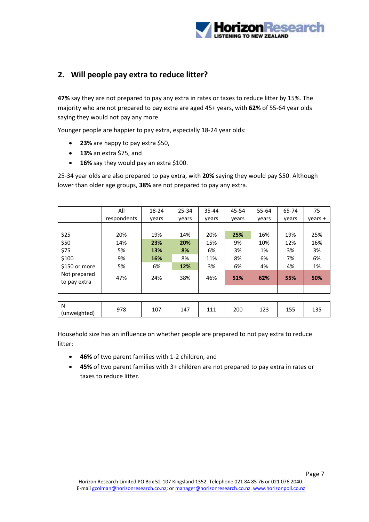

## <span id="page-6-0"></span>**2. Will people pay extra to reduce litter?**

**47%** say they are not prepared to pay any extra in rates or taxes to reduce litter by 15%. The majority who are not prepared to pay extra are aged 45+ years, with **62%** of 55-64 year olds saying they would not pay any more.

Younger people are happier to pay extra, especially 18-24 year olds:

- **23%** are happy to pay extra \$50,
- **13%** an extra \$75, and
- **16%** say they would pay an extra \$100.

25-34 year olds are also prepared to pay extra, with **20%** saying they would pay \$50. Although lower than older age groups, **38%** are not prepared to pay any extra.

|                              | All         | 18-24 | 25-34 | $35 - 44$ | 45-54 | 55-64 | 65-74 | 75        |
|------------------------------|-------------|-------|-------|-----------|-------|-------|-------|-----------|
|                              | respondents | vears | vears | years     | vears | vears | vears | $years +$ |
|                              |             |       |       |           |       |       |       |           |
| \$25                         | 20%         | 19%   | 14%   | 20%       | 25%   | 16%   | 19%   | 25%       |
| \$50                         | 14%         | 23%   | 20%   | 15%       | 9%    | 10%   | 12%   | 16%       |
| \$75                         | 5%          | 13%   | 8%    | 6%        | 3%    | 1%    | 3%    | 3%        |
| \$100                        | 9%          | 16%   | 8%    | 11%       | 8%    | 6%    | 7%    | 6%        |
| \$150 or more                | 5%          | 6%    | 12%   | 3%        | 6%    | 4%    | 4%    | 1%        |
| Not prepared<br>to pay extra | 47%         | 24%   | 38%   | 46%       | 51%   | 62%   | 55%   | 50%       |
|                              |             |       |       |           |       |       |       |           |
|                              |             |       |       |           |       |       |       |           |
| N<br>(unweighted)            | 978         | 107   | 147   | 111       | 200   | 123   | 155   | 135       |

Household size has an influence on whether people are prepared to not pay extra to reduce litter:

- **46%** of two parent families with 1-2 children, and
- **45%** of two parent families with 3+ children are not prepared to pay extra in rates or taxes to reduce litter.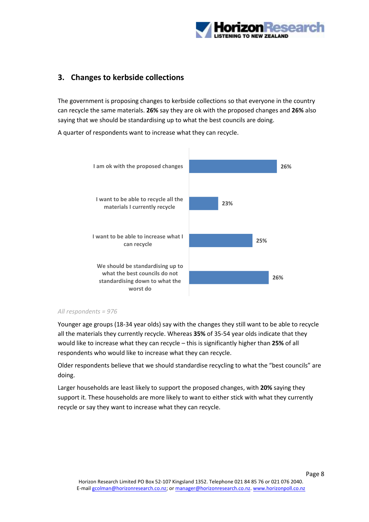

## <span id="page-7-0"></span>**3. Changes to kerbside collections**

The government is proposing changes to kerbside collections so that everyone in the country can recycle the same materials. **26%** say they are ok with the proposed changes and **26%** also saying that we should be standardising up to what the best councils are doing.

A quarter of respondents want to increase what they can recycle.



#### *All respondents = 976*

Younger age groups (18-34 year olds) say with the changes they still want to be able to recycle all the materials they currently recycle. Whereas **35%** of 35-54 year olds indicate that they would like to increase what they can recycle – this is significantly higher than **25%** of all respondents who would like to increase what they can recycle.

Older respondents believe that we should standardise recycling to what the "best councils" are doing.

Larger households are least likely to support the proposed changes, with **20%** saying they support it. These households are more likely to want to either stick with what they currently recycle or say they want to increase what they can recycle.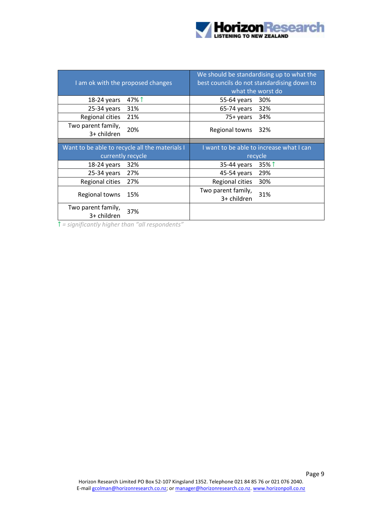

|                                   | I am ok with the proposed changes              | We should be standardising up to what the<br>best councils do not standardising down to<br>what the worst do |          |  |  |  |
|-----------------------------------|------------------------------------------------|--------------------------------------------------------------------------------------------------------------|----------|--|--|--|
| 18-24 years                       | 47% î                                          | 55-64 years                                                                                                  | 30%      |  |  |  |
| $25-34$ years                     | 31%                                            | 65-74 years                                                                                                  | 32%      |  |  |  |
| Regional cities                   | 21%                                            | 75+ years                                                                                                    | 34%      |  |  |  |
| Two parent family,<br>3+ children | 20%                                            | Regional towns                                                                                               | 32%      |  |  |  |
|                                   |                                                |                                                                                                              |          |  |  |  |
|                                   | Want to be able to recycle all the materials I | I want to be able to increase what I can                                                                     |          |  |  |  |
|                                   | currently recycle                              | recycle                                                                                                      |          |  |  |  |
| 18-24 years                       | 32%                                            | 35-44 years                                                                                                  | $35\%$ 1 |  |  |  |
| $25-34$ years                     | 27%                                            | 45-54 years                                                                                                  | 29%      |  |  |  |
| Regional cities                   | 27%                                            | Regional cities                                                                                              | 30%      |  |  |  |
| Regional towns                    | 15%                                            | Two parent family,<br>3+ children                                                                            | 31%      |  |  |  |
| Two parent family,<br>3+ children | 37%                                            |                                                                                                              |          |  |  |  |

↑ *= significantly higher than "all respondents"*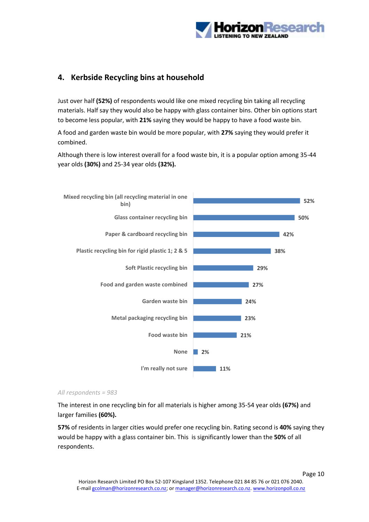

## <span id="page-9-0"></span>**4. Kerbside Recycling bins at household**

Just over half **(52%)** of respondents would like one mixed recycling bin taking all recycling materials. Half say they would also be happy with glass container bins. Other bin options start to become less popular, with **21%** saying they would be happy to have a food waste bin.

A food and garden waste bin would be more popular, with **27%** saying they would prefer it combined.

Although there is low interest overall for a food waste bin, it is a popular option among 35-44 year olds **(30%)** and 25-34 year olds **(32%).**



#### *All respondents = 983*

The interest in one recycling bin for all materials is higher among 35-54 year olds **(67%)** and larger families **(60%).**

**57%** of residents in larger cities would prefer one recycling bin. Rating second is **40%** saying they would be happy with a glass container bin. This is significantly lower than the **50%** of all respondents.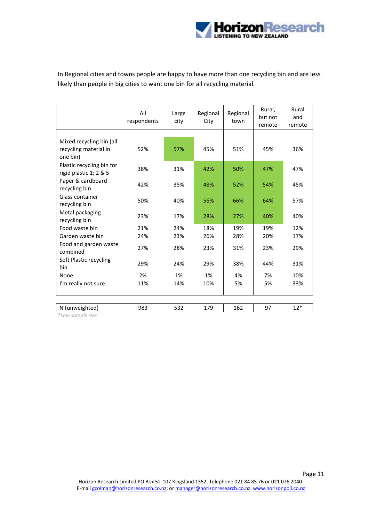

In Regional cities and towns people are happy to have more than one recycling bin and are less likely than people in big cities to want one bin for all recycling material.

|                                                               | All<br>respondents | Large<br>city | Regional<br>City | Regional<br>town | Rural,<br>but not<br>remote | Rural<br>and<br>remote |
|---------------------------------------------------------------|--------------------|---------------|------------------|------------------|-----------------------------|------------------------|
|                                                               |                    |               |                  |                  |                             |                        |
| Mixed recycling bin (all<br>recycling material in<br>one bin) | 52%                | 57%           | 45%              | 51%              | 45%                         | 36%                    |
| Plastic recycling bin for<br>rigid plastic 1; 2 & 5           | 38%                | 31%           | 42%              | 50%              | 47%                         | 47%                    |
| Paper & cardboard<br>recycling bin                            | 42%                | 35%           | 48%              | 52%              | 54%                         | 45%                    |
| Glass container<br>recycling bin                              | 50%                | 40%           | 56%              | 66%              | 64%                         | 57%                    |
| Metal packaging<br>recycling bin                              | 23%                | 17%           | 28%              | 27%              | 40%                         | 40%                    |
| Food waste bin                                                | 21%                | 24%           | 18%              | 19%              | 19%                         | 12%                    |
| Garden waste bin                                              | 24%                | 23%           | 26%              | 28%              | 20%                         | 17%                    |
| Food and garden waste<br>combined                             | 27%                | 28%           | 23%              | 31%              | 23%                         | 29%                    |
| Soft Plastic recycling<br>bin                                 | 29%                | 24%           | 29%              | 38%              | 44%                         | 31%                    |
| None                                                          | 2%                 | 1%            | 1%               | 4%               | 7%                          | 10%                    |
| I'm really not sure                                           | 11%                | 14%           | 10%              | 5%               | 5%                          | 33%                    |
|                                                               |                    |               |                  |                  |                             |                        |
| N (unweighted)                                                | 983                | 532           | 179              | 162              | 97                          | $12*$                  |

*\*Low sample size*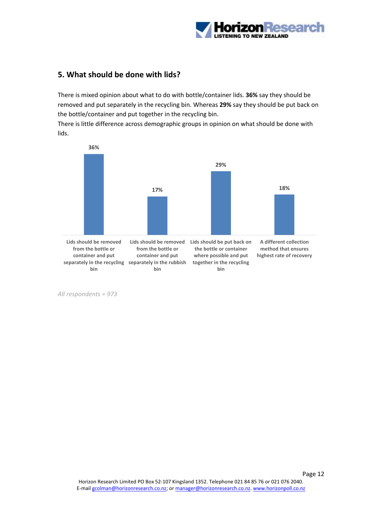

## <span id="page-11-0"></span>**5. What should be done with lids?**

There is mixed opinion about what to do with bottle/container lids. **36%** say they should be removed and put separately in the recycling bin. Whereas **29%** say they should be put back on the bottle/container and put together in the recycling bin.

There is little difference across demographic groups in opinion on what should be done with lids.



*All respondents = 973*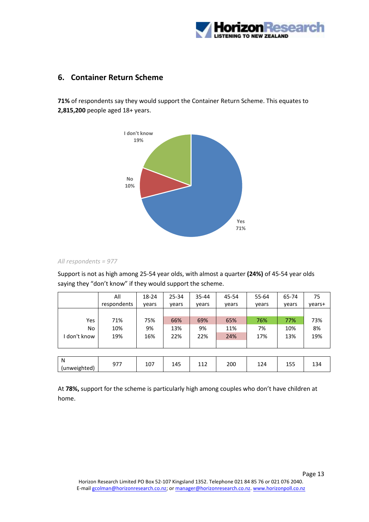

## <span id="page-12-0"></span>**6. Container Return Scheme**

**71%** of respondents say they would support the Container Return Scheme. This equates to **2,815,200** people aged 18+ years.



#### *All respondents = 977*

Support is not as high among 25-54 year olds, with almost a quarter **(24%)** of 45-54 year olds saying they "don't know" if they would support the scheme.

|                   | All         | 18-24 | 25-34 | 35-44 | 45-54 | 55-64 | 65-74 | 75     |
|-------------------|-------------|-------|-------|-------|-------|-------|-------|--------|
|                   | respondents | vears | vears | vears | vears | vears | vears | years+ |
|                   |             |       |       |       |       |       |       |        |
| Yes               | 71%         | 75%   | 66%   | 69%   | 65%   | 76%   | 77%   | 73%    |
| No                | 10%         | 9%    | 13%   | 9%    | 11%   | 7%    | 10%   | 8%     |
| I don't know      | 19%         | 16%   | 22%   | 22%   | 24%   | 17%   | 13%   | 19%    |
|                   |             |       |       |       |       |       |       |        |
|                   |             |       |       |       |       |       |       |        |
| N<br>(unweighted) | 977         | 107   | 145   | 112   | 200   | 124   | 155   | 134    |

At **78%,** support for the scheme is particularly high among couples who don't have children at home.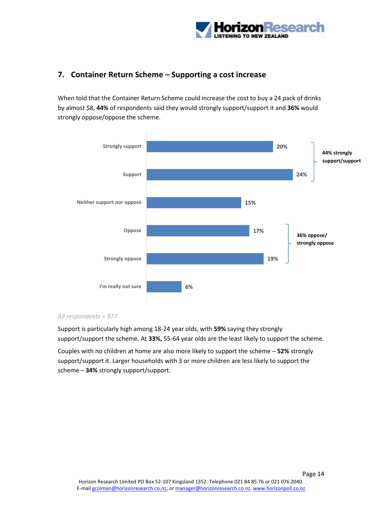

## <span id="page-13-0"></span>**7. Container Return Scheme – Supporting a cost increase**

When told that the Container Return Scheme could increase the cost to buy a 24 pack of drinks by almost \$8, **44%** of respondents said they would strongly support/support it and **36%** would strongly oppose/oppose the scheme.



#### *All respondents = 977*

Support is particularly high among 18-24 year olds, with **59%** saying they strongly support/support the scheme. At **33%,** 55-64 year olds are the least likely to support the scheme.

Couples with no children at home are also more likely to support the scheme – **52%** strongly support/support it. Larger households with 3 or more children are less likely to support the scheme – **34%** strongly support/support.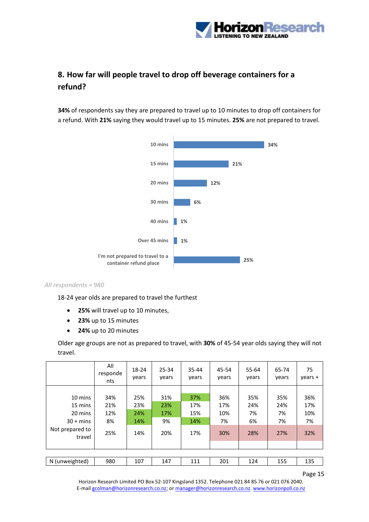

## <span id="page-14-0"></span>**8. How far will people travel to drop off beverage containers for a refund?**

**34%** of respondents say they are prepared to travel up to 10 minutes to drop off containers for a refund. With **21%** saying they would travel up to 15 minutes. **25%** are not prepared to travel.



#### *All respondents = 980*

18-24 year olds are prepared to travel the furthest

- **25%** will travel up to 10 minutes,
- **23%** up to 15 minutes
- **24%** up to 20 minutes

Older age groups are not as prepared to travel, with **30%** of 45-54 year olds saying they will not travel.

|                           | All<br>responde<br>nts | 18-24<br>years | 25-34<br>years | 35-44<br>years | 45-54<br>years | 55-64<br>years | 65-74<br>vears | 75<br>years + |
|---------------------------|------------------------|----------------|----------------|----------------|----------------|----------------|----------------|---------------|
|                           |                        |                |                |                |                |                |                |               |
| 10 mins                   | 34%                    | 25%            | 31%            | 37%            | 36%            | 35%            | 35%            | 36%           |
| 15 mins                   | 21%                    | 23%            | 23%            | 17%            | 17%            | 24%            | 24%            | 17%           |
| 20 mins                   | 12%                    | 24%            | 17%            | 15%            | 10%            | 7%             | 7%             | 10%           |
| $30 + mins$               | 8%                     | 14%            | 9%             | 14%            | 7%             | 6%             | 7%             | 7%            |
| Not prepared to<br>travel | 25%                    | 14%            | 20%            | 17%            | 30%            | 28%            | 27%            | 32%           |
|                           |                        |                |                |                |                |                |                |               |
|                           |                        |                |                |                |                |                |                |               |
| N (unweighted)            | 980                    | 107            | 147            | 111            | 201            | 124            | 155            | 135           |

Page 15

Horizon Research Limited PO Box 52-107 Kingsland 1352. Telephone 021 84 85 76 or 021 076 2040. E-mai[l gcolman@horizonresearch.co.nz;](mailto:gcolman@horizonresearch.co.nz) or [manager@horizonresearch.co.nz.](mailto:manager@horizonresearch.co.nz) [www.horizonpoll.co.nz](http://www.horizonpoll.co.nz/)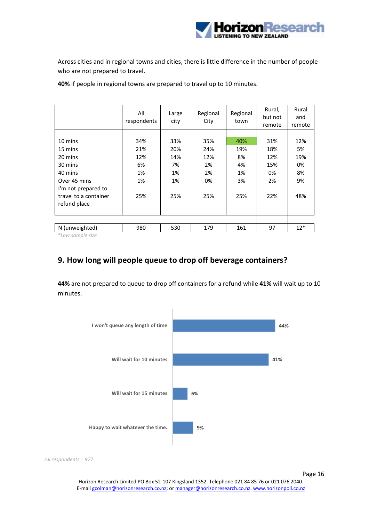

Across cities and in regional towns and cities, there is little difference in the number of people who are not prepared to travel.

All respondents Large city Regional City Regional town Rural, but not remote Rural and remote 10 mins 34% 33% 35% 40% 31% 12% 15 mins 21% 20% 24% 19% 18% 5% 20 mins 12% 14% 12% 8% 12% 19% 30 mins 6% 7% 2% 4% 15% 0% 40 mins 1% 1% 2% 1% 0% 8% Over 45 mins 1% 1% 0% 3% 2% 9% I'm not prepared to travel to a container refund place 25% 25% 25% 25% 22% 48% N (unweighted) | 980 | 530 | 179 | 161 | 97 | 12\*

**40%** if people in regional towns are prepared to travel up to 10 minutes.

<span id="page-15-0"></span>*\*Low sample size*

## **9. How long will people queue to drop off beverage containers?**

**44%** are not prepared to queue to drop off containers for a refund while **41%** will wait up to 10 minutes.



*All respondents = 977*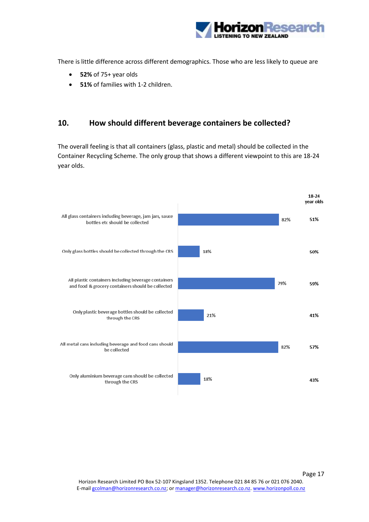

There is little difference across different demographics. Those who are less likely to queue are

- **52%** of 75+ year olds
- **51%** of families with 1-2 children.

#### <span id="page-16-0"></span>**10. How should different beverage containers be collected?**

The overall feeling is that all containers (glass, plastic and metal) should be collected in the Container Recycling Scheme. The only group that shows a different viewpoint to this are 18-24 year olds.